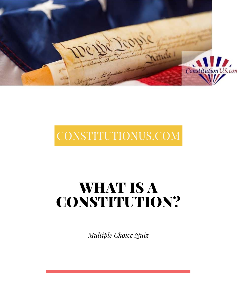

## CONSTITUTIONUS.COM

# WHAT IS A CONSTITUTION?

*Multiple Choice Quiz*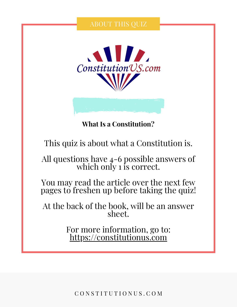## ABOUT THIS QUIZ



**What Is a Constitution?**

This quiz is about what a Constitution is.

All questions have 4-6 possible answers of which only 1 is correct.

You may read the article over the next few pages to freshen up before taking the quiz!

At the back of the book, will be an answer sheet.

> For more information, go to: [https://constitutionus.com](https://constitutionus.com/)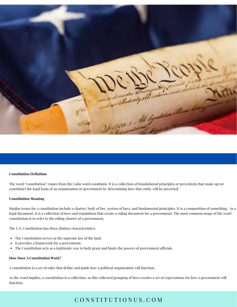

## **Constitution Definition**

The word "constitution" comes from the Latin word *constitutio*. It is a collection of foundational principles or precedents that make up (or constitute) the legal basis of an organization or government by determining how that entity will be governed.

#### **Constitution Meaning**

Similar terms for a constitution include a charter, body of law, system of laws, and fundamental principles. It is a composition of something. As a legal document, it is a collection of laws and regulations that create a ruling document for a government. The most common usage of the word constitution is to refer to the ruling charter of a government.

The U.S. Constitution has three distinct characteristics:

- The Constitution serves as the supreme law of the land.
- It provides a framework for a government.
- The Constitution acts as a legitimate way to both grant and limits the powers of government officials.

## **How Does A Constitution Work?**

A constitution is a set of rules that define and guide how a political organization will function.

As the word implies, a constitution is a collection, so this collected grouping of laws creates a set of expectations for how a government will function.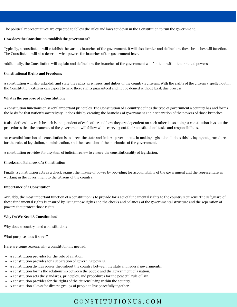The political representatives are expected to follow the rules and laws set down in the Constitution to run the government.

### **How does the Constitution establish the government?**

Typically, a constitution will establish the various branches of the government. It will also itemize and define how these branches will function. The Constitution will also describe what powers the branches of the government have.

Additionally, the Constitution will explain and define how the branches of the government will function within their stated powers.

### **Constitutional Rights and Freedoms**

A constitution will also establish and state the rights, privileges, and duties of the country's citizens. With the rights of the citizenry spelled out in the Constitution, citizens can expect to have these rights guaranteed and not be denied without legal, due process.

## **What is the purpose of a Constitution?**

A constitution functions on several important principles. The Constitution of a country defines the type of government a country has and forms the basis for that nation's sovereignty. It does this by creating the branches of government and a separation of the powers of those branches.

It also defines how each branch is independent of each other and how they are dependent on each other. In so doing, a constitution lays out the procedures that the branches of the government will follow while carrying out their constitutional tasks and responsibilities.

An essential function of a constitution is to direct the state and federal governments in making legislation. It does this by laying out procedures for the roles of legislation, administration, and the execution of the mechanics of the government.

A constitution provides for a system of judicial review to ensure the constitutionality of legislation.

#### **Checks and Balances of a Constitution**

Finally, a constitution acts as a check against the misuse of power by providing for accountability of the government and the representatives working in the government to the citizens of the country.

#### **Importance of a Constitution**

Arguably, the most important function of a constitution is to provide for a set of fundamental rights to the country's citizens. The safeguard of these fundamental rights is ensured by listing those rights and the checks and balances of the governmental structure and the separation of powers that protect those rights.

#### **Why Do We Need A Constitution?**

Why does a country need a constitution?

What purpose does it serve?

Here are some reasons why a constitution is needed:

- A constitution provides for the rule of a nation.
- A constitution provides for a separation of governing powers.
- A constitution divides power throughout the country between the state and federal governments.
- A constitution forms the relationship between the people and the government of a nation.
- A constitution sets the standards, principles, and procedures for the peaceful rule of law.
- A constitution provides for the rights of the citizens living within the country.
- A constitution allows for diverse groups of people to live peacefully together.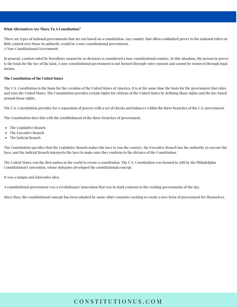## **What Alternatives Are There To A Constitution?**

There are types of national governments that are not based on a constitution. Any country that allows unlimited power to the national rulers or little control over those in authority would be a non-constitutional government. A Non-Constitutional Government

In general, a nation ruled by hereditary monarchs or dictators is considered a non-constitutional country. In this situation, the person in power is the basis for the law of the land. A non-constitutional government is not formed through voter consent and cannot be removed through legal means.

## **The Constitution of the United States**

The U.S. Constitution is the basis for the creation of the United States of America. It is at the same time the basis for the government that rules and runs the United States. The Constitution provides certain rights for citizens of the United States by defining those rights and the law based around those rights.

The U.S. Constitution provides for a separation of powers with a set of checks and balances within the three branches of the U.S. government.

The Constitution does this with the establishment of the three branches of government.

- The Legislative Branch
- The Executive Branch
- The Judicial Branch

The Constitution specifies that the Legislative Branch makes the laws to run the country, the Executive Branch has the authority to execute the laws, and the Judicial Branch interprets the laws to make sure they conform to the dictates of the Constitution.

The United States was the first nation in the world to create a constitution. The U.S. Constitution was formed in 1788 by the Philadelphia Constitutional Convention, whose delegates developed the constitutional concept.

It was a unique and innovative idea.

A constitutional government was a revolutionary innovation that was in stark contrast to the existing governments of the day.

Since then, the constitutional concept has been adopted by many other countries seeking to create a new form of government for themselves.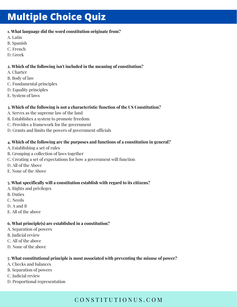## **Multiple Choice Quiz**

## **1. What language did the word constitution originate from?**

- A. Latin
- B. Spanish
- C. French
- D. Greek

## **2. Which of the following isn't included in the meaning of constitution?**

- A. Charter
- B. Body of law
- C. Fundamental principles
- D. Equality principles
- E. System of laws

## **3. Which of the following is not a characteristic/function of the US Constitution?**

- A. Serves as the supreme law of the land
- B. Establishes a system to promote freedom
- C. Provides a framework for the government
- D. Grants and limits the powers of government officials

## **4. Which of the following are the purposes and functions of a constitution in general?**

- A. Establishing a set of rules
- B. Grouping a collection of laws together
- C. Creating a set of expectations for how a government will function
- D. All of the Above
- E. None of the Above

## **5. What specifically will a constitution establish with regard to its citizens?**

- A. Rights and privileges
- B. Duties
- C. Needs
- D. A and B
- E. All of the above

## **6. What principle(s) are established in a constitution?**

- A. Separation of powers
- B. Judicial review
- C. All of the above
- D. None of the above

## **7. What constitutional principle is most associated with preventing the misuse of power?**

- A. Checks and balances
- B. Separation of powers
- C. Judicial review
- D. Proportional representation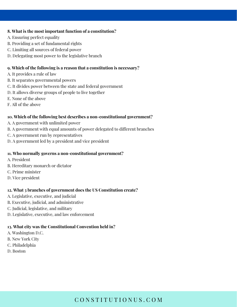## **8. What is the most important function of a constitution?**

- A. Ensuring perfect equality
- B. Providing a set of fundamental rights
- C. Limiting all sources of federal power
- D. Delegating most power to the legislative branch

## **9. Which of the following is a reason that a constitution is necessary?**

- A. It provides a rule of law
- B. It separates governmental powers
- C. It divides power between the state and federal government
- D. It allows diverse groups of people to live together
- E. None of the above
- F. All of the above

## **10. Which of the following best describes a non-constitutional government?**

- A. A government with unlimited power
- B. A government with equal amounts of power delegated to different branches
- C. A government run by representatives
- D. A government led by a president and vice president

## **11. Who normally governs a non-constitutional government?**

- A. President
- B. Hereditary monarch or dictator
- C. Prime minister
- D. Vice president

## **12. What 3 branches of government does the US Constitution create?**

- A. Legislative, executive, and judicial
- B. Executive, judicial, and administrative
- C. Judicial, legislative, and military
- D. Legislative, executive, and law enforcement

## **13. What city was the Constitutional Convention held in?**

- A. Washington D.C.
- B. New York City
- C. Philadelphia
- D. Boston